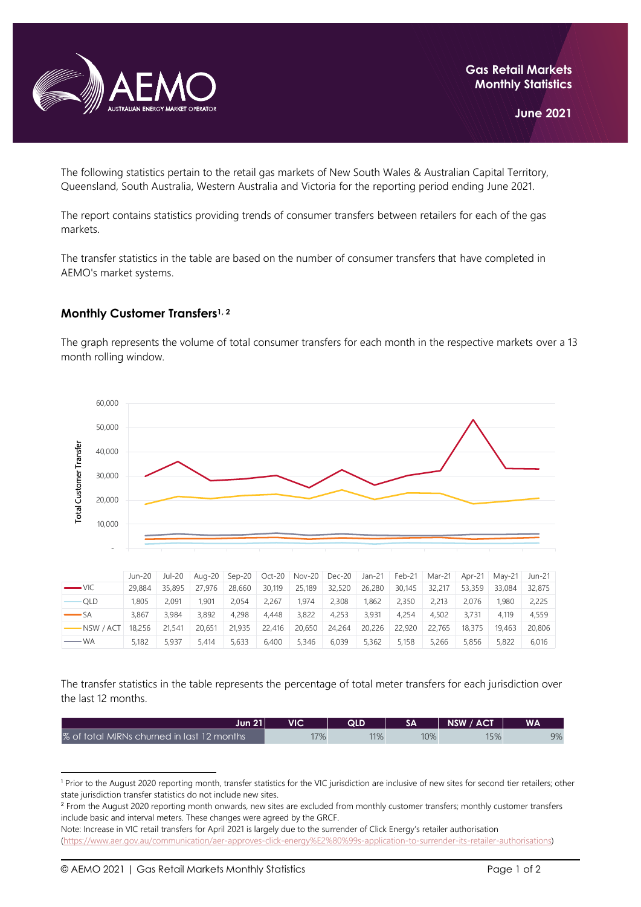

The following statistics pertain to the retail gas markets of New South Wales & Australian Capital Territory, Queensland, South Australia, Western Australia and Victoria for the reporting period ending June 2021.

The report contains statistics providing trends of consumer transfers between retailers for each of the gas markets.

The transfer statistics in the table are based on the number of consumer transfers that have completed in AEMO's market systems.

## **Monthly Customer Transfers1, <sup>2</sup>**

The graph represents the volume of total consumer transfers for each month in the respective markets over a 13 month rolling window.



|                       | Jun-20 | Jul-20 |        |        |        | Aug-20 Sep-20 Oct-20 Nov-20 Dec-20 |        | Jan-21 | Feb-21 | Mar-21 | Apr-21 | Mav-21 | Jun-21 |
|-----------------------|--------|--------|--------|--------|--------|------------------------------------|--------|--------|--------|--------|--------|--------|--------|
| $\longrightarrow$ VIC | 29,884 | 35,895 | 27.976 | 28,660 | 30,119 | 25,189                             | 32,520 | 26,280 | 30,145 | 32,217 | 53,359 | 33.084 | 32,875 |
| <b>OLD</b>            | 1.805  | 2.091  | 1.901  | 2.054  | 2.267  | 1.974                              | 2.308  | 1.862  | 2.350  | 2.213  | 2.076  | 1.980  | 2,225  |
| $\longrightarrow$ SA  | 3.867  | 3.984  | 3.892  | 4.298  | 4.448  | 3.822                              | 4.253  | 3.931  | 4.254  | 4.502  | 3.731  | 4.119  | 4.559  |
| NSW / ACT             | 18,256 | 21.541 | 20.651 | 21,935 | 22,416 | 20.650                             | 24.264 | 20,226 | 22,920 | 22,765 | 18,375 | 19.463 | 20,806 |
| — WA                  | 5.182  | 5.937  | 5.414  | 5.633  | 6.400  | 5.346                              | 6.039  | 5.362  | 5.158  | 5.266  | 5.856  | 5,822  | 6.016  |

The transfer statistics in the table represents the percentage of total meter transfers for each jurisdiction over the last 12 months.

| Jun 21 l                                   | VIC | QLD |     | NSW / ACT | WA |
|--------------------------------------------|-----|-----|-----|-----------|----|
| % of total MIRNs churned in last 12 months | 17% | 11% | 10% | 15%       | 9% |

<sup>&</sup>lt;sup>1</sup> Prior to the August 2020 reporting month, transfer statistics for the VIC jurisdiction are inclusive of new sites for second tier retailers; other state jurisdiction transfer statistics do not include new sites.

<sup>&</sup>lt;sup>2</sup> From the August 2020 reporting month onwards, new sites are excluded from monthly customer transfers; monthly customer transfers include basic and interval meters. These changes were agreed by the GRCF.

Note: Increase in VIC retail transfers for April 2021 is largely due to the surrender of Click Energy's retailer authorisation [\(https://www.aer.gov.au/communication/aer-approves-click-energy%E2%80%99s-application-to-surrender-its-retailer-authorisations\)](https://www.aer.gov.au/communication/aer-approves-click-energy%E2%80%99s-application-to-surrender-its-retailer-authorisations)